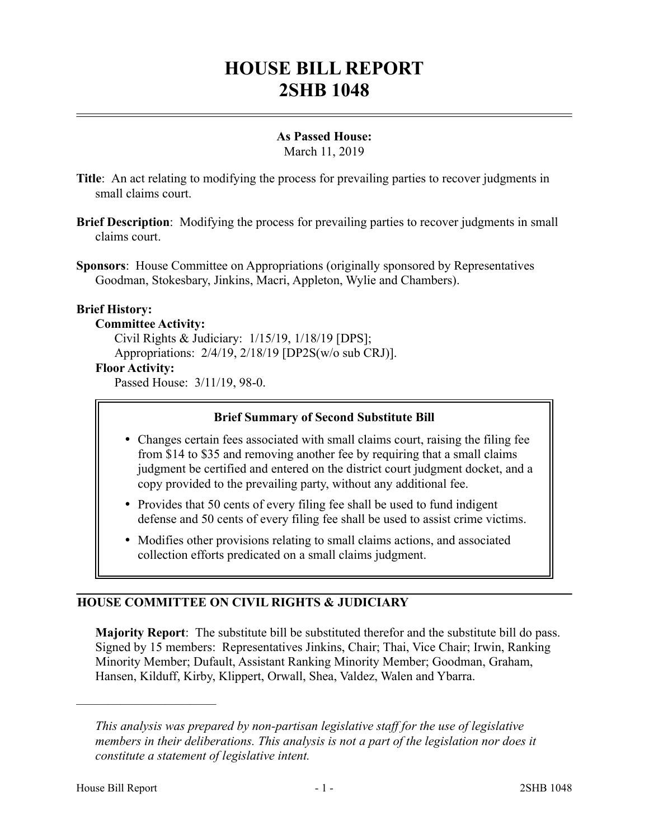# **HOUSE BILL REPORT 2SHB 1048**

## **As Passed House:**

March 11, 2019

- **Title**: An act relating to modifying the process for prevailing parties to recover judgments in small claims court.
- **Brief Description**: Modifying the process for prevailing parties to recover judgments in small claims court.
- **Sponsors**: House Committee on Appropriations (originally sponsored by Representatives Goodman, Stokesbary, Jinkins, Macri, Appleton, Wylie and Chambers).

## **Brief History:**

#### **Committee Activity:**

Civil Rights & Judiciary: 1/15/19, 1/18/19 [DPS]; Appropriations: 2/4/19, 2/18/19 [DP2S(w/o sub CRJ)]. **Floor Activity:** Passed House: 3/11/19, 98-0.

## **Brief Summary of Second Substitute Bill**

- Changes certain fees associated with small claims court, raising the filing fee from \$14 to \$35 and removing another fee by requiring that a small claims judgment be certified and entered on the district court judgment docket, and a copy provided to the prevailing party, without any additional fee.
- Provides that 50 cents of every filing fee shall be used to fund indigent defense and 50 cents of every filing fee shall be used to assist crime victims.
- Modifies other provisions relating to small claims actions, and associated collection efforts predicated on a small claims judgment.

## **HOUSE COMMITTEE ON CIVIL RIGHTS & JUDICIARY**

**Majority Report**: The substitute bill be substituted therefor and the substitute bill do pass. Signed by 15 members: Representatives Jinkins, Chair; Thai, Vice Chair; Irwin, Ranking Minority Member; Dufault, Assistant Ranking Minority Member; Goodman, Graham, Hansen, Kilduff, Kirby, Klippert, Orwall, Shea, Valdez, Walen and Ybarra.

––––––––––––––––––––––

*This analysis was prepared by non-partisan legislative staff for the use of legislative members in their deliberations. This analysis is not a part of the legislation nor does it constitute a statement of legislative intent.*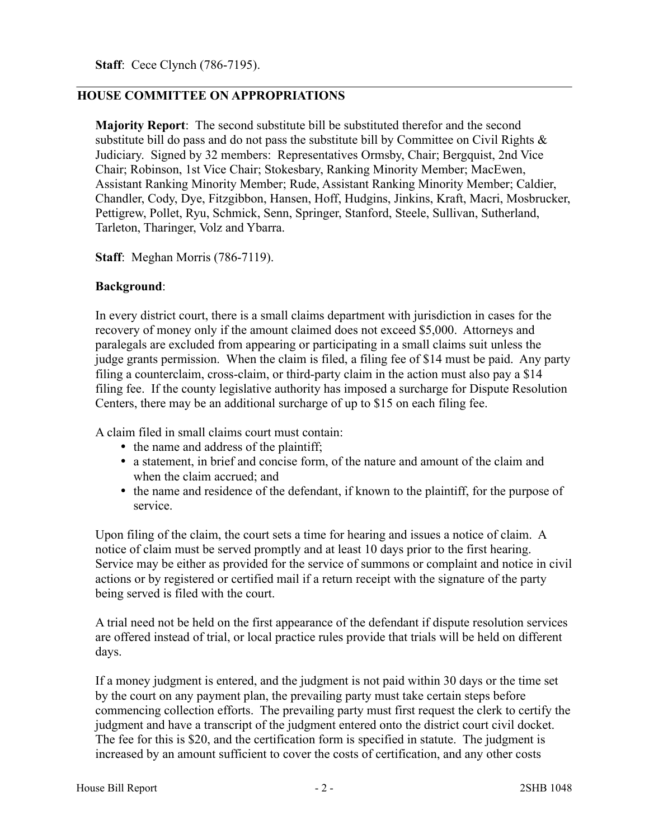**Staff**: Cece Clynch (786-7195).

### **HOUSE COMMITTEE ON APPROPRIATIONS**

**Majority Report**: The second substitute bill be substituted therefor and the second substitute bill do pass and do not pass the substitute bill by Committee on Civil Rights & Judiciary. Signed by 32 members: Representatives Ormsby, Chair; Bergquist, 2nd Vice Chair; Robinson, 1st Vice Chair; Stokesbary, Ranking Minority Member; MacEwen, Assistant Ranking Minority Member; Rude, Assistant Ranking Minority Member; Caldier, Chandler, Cody, Dye, Fitzgibbon, Hansen, Hoff, Hudgins, Jinkins, Kraft, Macri, Mosbrucker, Pettigrew, Pollet, Ryu, Schmick, Senn, Springer, Stanford, Steele, Sullivan, Sutherland, Tarleton, Tharinger, Volz and Ybarra.

**Staff**: Meghan Morris (786-7119).

#### **Background**:

In every district court, there is a small claims department with jurisdiction in cases for the recovery of money only if the amount claimed does not exceed \$5,000. Attorneys and paralegals are excluded from appearing or participating in a small claims suit unless the judge grants permission. When the claim is filed, a filing fee of \$14 must be paid. Any party filing a counterclaim, cross-claim, or third-party claim in the action must also pay a \$14 filing fee. If the county legislative authority has imposed a surcharge for Dispute Resolution Centers, there may be an additional surcharge of up to \$15 on each filing fee.

A claim filed in small claims court must contain:

- the name and address of the plaintiff;
- a statement, in brief and concise form, of the nature and amount of the claim and when the claim accrued; and
- the name and residence of the defendant, if known to the plaintiff, for the purpose of service.

Upon filing of the claim, the court sets a time for hearing and issues a notice of claim. A notice of claim must be served promptly and at least 10 days prior to the first hearing. Service may be either as provided for the service of summons or complaint and notice in civil actions or by registered or certified mail if a return receipt with the signature of the party being served is filed with the court.

A trial need not be held on the first appearance of the defendant if dispute resolution services are offered instead of trial, or local practice rules provide that trials will be held on different days.

If a money judgment is entered, and the judgment is not paid within 30 days or the time set by the court on any payment plan, the prevailing party must take certain steps before commencing collection efforts. The prevailing party must first request the clerk to certify the judgment and have a transcript of the judgment entered onto the district court civil docket. The fee for this is \$20, and the certification form is specified in statute. The judgment is increased by an amount sufficient to cover the costs of certification, and any other costs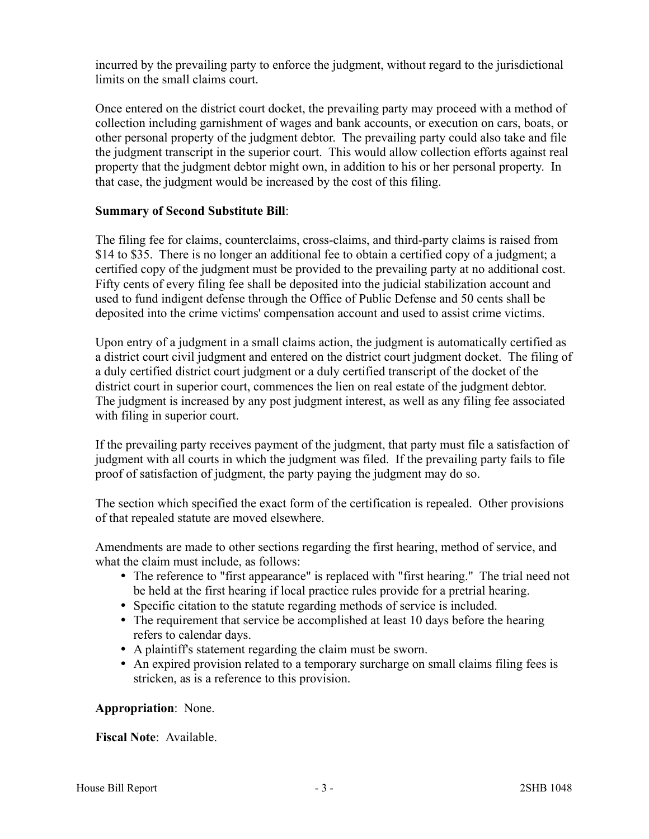incurred by the prevailing party to enforce the judgment, without regard to the jurisdictional limits on the small claims court.

Once entered on the district court docket, the prevailing party may proceed with a method of collection including garnishment of wages and bank accounts, or execution on cars, boats, or other personal property of the judgment debtor. The prevailing party could also take and file the judgment transcript in the superior court. This would allow collection efforts against real property that the judgment debtor might own, in addition to his or her personal property. In that case, the judgment would be increased by the cost of this filing.

### **Summary of Second Substitute Bill**:

The filing fee for claims, counterclaims, cross-claims, and third-party claims is raised from \$14 to \$35. There is no longer an additional fee to obtain a certified copy of a judgment; a certified copy of the judgment must be provided to the prevailing party at no additional cost. Fifty cents of every filing fee shall be deposited into the judicial stabilization account and used to fund indigent defense through the Office of Public Defense and 50 cents shall be deposited into the crime victims' compensation account and used to assist crime victims.

Upon entry of a judgment in a small claims action, the judgment is automatically certified as a district court civil judgment and entered on the district court judgment docket. The filing of a duly certified district court judgment or a duly certified transcript of the docket of the district court in superior court, commences the lien on real estate of the judgment debtor. The judgment is increased by any post judgment interest, as well as any filing fee associated with filing in superior court.

If the prevailing party receives payment of the judgment, that party must file a satisfaction of judgment with all courts in which the judgment was filed. If the prevailing party fails to file proof of satisfaction of judgment, the party paying the judgment may do so.

The section which specified the exact form of the certification is repealed. Other provisions of that repealed statute are moved elsewhere.

Amendments are made to other sections regarding the first hearing, method of service, and what the claim must include, as follows:

- The reference to "first appearance" is replaced with "first hearing." The trial need not be held at the first hearing if local practice rules provide for a pretrial hearing.
- Specific citation to the statute regarding methods of service is included.
- The requirement that service be accomplished at least 10 days before the hearing refers to calendar days.
- A plaintiff's statement regarding the claim must be sworn.
- An expired provision related to a temporary surcharge on small claims filing fees is stricken, as is a reference to this provision.

## **Appropriation**: None.

**Fiscal Note**: Available.